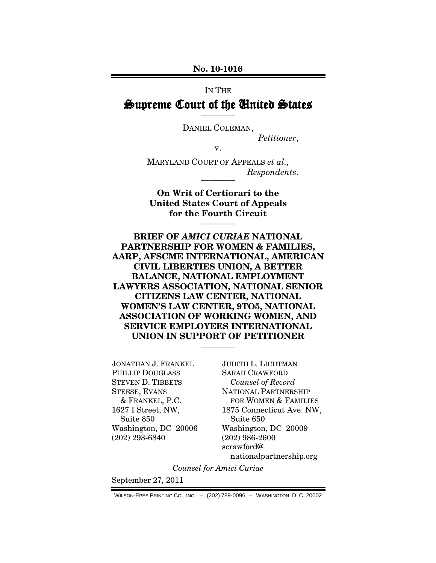#### **No. 10-1016**

# IN THE Supreme Court of the United States

DANIEL COLEMAN,

*Petitioner*,

v.

MARYLAND COURT OF APPEALS *et al.,*  $Respondents.$ 

**On Writ of Certiorari to the United States Court of Appeals for the Fourth Circuit**

————

**BRIEF OF** *AMICI CURIAE* **NATIONAL PARTNERSHIP FOR WOMEN & FAMILIES, AARP, AFSCME INTERNATIONAL, AMERICAN CIVIL LIBERTIES UNION, A BETTER BALANCE, NATIONAL EMPLOYMENT LAWYERS ASSOCIATION, NATIONAL SENIOR CITIZENS LAW CENTER, NATIONAL WOMEN'S LAW CENTER, 9TO5, NATIONAL ASSOCIATION OF WORKING WOMEN, AND SERVICE EMPLOYEES INTERNATIONAL UNION IN SUPPORT OF PETITIONER**

————

JONATHAN J. FRANKEL PHILLIP DOUGLASS STEVEN D. TIBBETS STEESE, EVANS & FRANKEL, P.C. 1627 I Street, NW, Suite 850 Washington, DC 20006 (202) 293-6840

JUDITH L. LICHTMAN SARAH CRAWFORD *Counsel of Record* NATIONAL PARTNERSHIP FOR WOMEN & FAMILIES 1875 Connecticut Ave. NW, Suite 650 Washington, DC 20009 (202) 986-2600 scrawford@ nationalpartnership.org

*Counsel for Amici Curiae*

September 27, 2011

WILSON-EPES PRINTING CO., INC. – (202) 789-0096 – WASHINGTON, D. C. 20002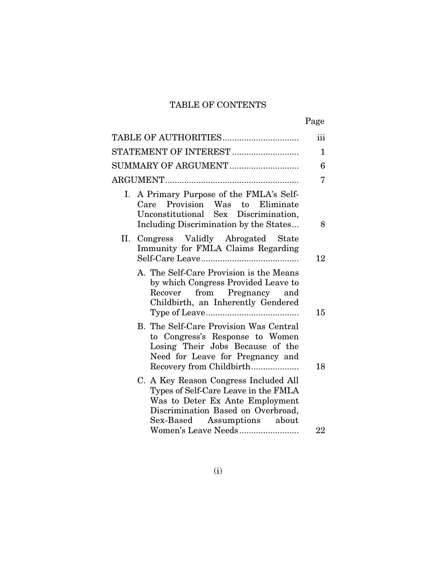### TABLE OF CONTENTS

|                                                                                                                                                                                       | Page         |
|---------------------------------------------------------------------------------------------------------------------------------------------------------------------------------------|--------------|
| TABLE OF AUTHORITIES                                                                                                                                                                  | iii          |
| STATEMENT OF INTEREST                                                                                                                                                                 | $\mathbf{1}$ |
|                                                                                                                                                                                       | 6            |
|                                                                                                                                                                                       | 7            |
| A Primary Purpose of the FMLA's Self-<br>Ι.<br>Care Provision Was to Eliminate<br>Unconstitutional Sex Discrimination,<br>Including Discrimination by the States                      | 8            |
| II. Congress Validly Abrogated State<br>Immunity for FMLA Claims Regarding                                                                                                            | 12           |
| A. The Self-Care Provision is the Means<br>by which Congress Provided Leave to<br>from Pregnancy and<br>Recover<br>Childbirth, an Inherently Gendered                                 | 15           |
| B. The Self-Care Provision Was Central<br>to Congress's Response to Women<br>Losing Their Jobs Because of the<br>Need for Leave for Pregnancy and<br>Recovery from Childbirth         | 18           |
| C. A Key Reason Congress Included All<br>Types of Self-Care Leave in the FMLA<br>Was to Deter Ex Ante Employment<br>Discrimination Based on Overbroad,<br>Sex-Based Assumptions about |              |
| Women's Leave Needs                                                                                                                                                                   | 22           |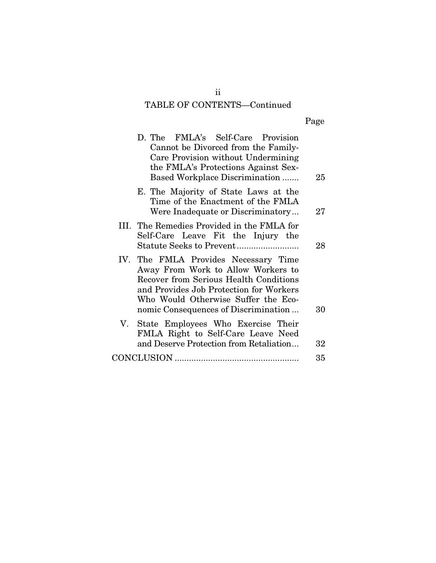# TABLE OF CONTENTS—Continued

| 25     | D. The FMLA's Self-Care Provision<br>Cannot be Divorced from the Family-<br>Care Provision without Undermining<br>the FMLA's Protections Against Sex-<br><b>Based Workplace Discrimination </b>                                                       |
|--------|-------------------------------------------------------------------------------------------------------------------------------------------------------------------------------------------------------------------------------------------------------|
| 27     | E. The Majority of State Laws at the<br>Time of the Enactment of the FMLA<br>Were Inadequate or Discriminatory                                                                                                                                        |
| 28     | III. The Remedies Provided in the FMLA for<br>Self-Care Leave Fit the Injury the                                                                                                                                                                      |
| 30     | IV. The FMLA Provides Necessary Time<br>Away From Work to Allow Workers to<br><b>Recover from Serious Health Conditions</b><br>and Provides Job Protection for Workers<br>Who Would Otherwise Suffer the Eco-<br>nomic Consequences of Discrimination |
| $32\,$ | V. State Employees Who Exercise Their<br>FMLA Right to Self-Care Leave Need<br>and Deserve Protection from Retaliation                                                                                                                                |
| 35     |                                                                                                                                                                                                                                                       |

ii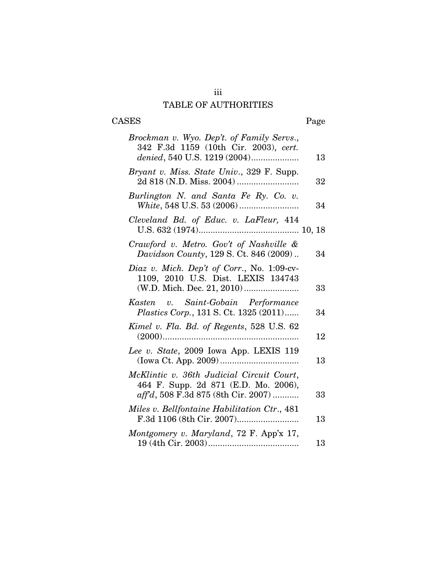# iii TABLE OF AUTHORITIES

# CASES Page

| Brockman v. Wyo. Dep't. of Family Servs.,<br>342 F.3d 1159 (10th Cir. 2003), cert.<br>denied, 540 U.S. 1219 (2004)       | 13 |
|--------------------------------------------------------------------------------------------------------------------------|----|
| Bryant v. Miss. State Univ., 329 F. Supp.                                                                                | 32 |
| Burlington N. and Santa Fe Ry. Co. v.                                                                                    | 34 |
| Cleveland Bd. of Educ. v. LaFleur, 414                                                                                   |    |
| Crawford v. Metro. Gov't of Nashville &<br>Davidson County, 129 S. Ct. 846 (2009)                                        | 34 |
| Diaz v. Mich. Dep't of Corr., No. $1:09$ -cv-<br>1109, 2010 U.S. Dist. LEXIS 134743                                      | 33 |
| Kasten v. Saint-Gobain Performance<br>Plastics Corp., 131 S. Ct. 1325 (2011)                                             | 34 |
| Kimel v. Fla. Bd. of Regents, 528 U.S. 62                                                                                | 12 |
| Lee v. State, 2009 Iowa App. LEXIS 119                                                                                   | 13 |
| McKlintic v. 36th Judicial Circuit Court,<br>464 F. Supp. 2d 871 (E.D. Mo. 2006),<br>aff'd, 508 F.3d 875 (8th Cir. 2007) | 33 |
| Miles v. Bellfontaine Habilitation Ctr., 481                                                                             | 13 |
| Montgomery v. Maryland, 72 F. App'x 17,                                                                                  | 13 |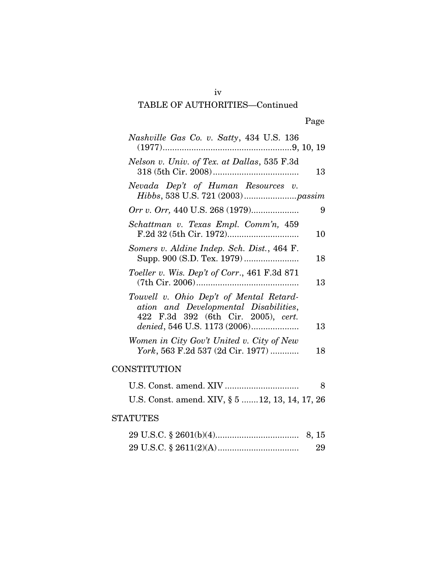| Nashville Gas Co. v. Satty, 434 U.S. 136                                                                                |    |
|-------------------------------------------------------------------------------------------------------------------------|----|
| Nelson v. Univ. of Tex. at Dallas, 535 F.3d                                                                             | 13 |
| Nevada Dep't of Human Resources v.                                                                                      |    |
| <i>Orr v. Orr, 440 U.S. 268 (1979)</i>                                                                                  | 9  |
| Schattman v. Texas Empl. Comm'n, 459                                                                                    | 10 |
| Somers v. Aldine Indep. Sch. Dist., 464 F.                                                                              | 18 |
| Toeller v. Wis. Dep't of Corr., 461 F.3d 871                                                                            | 13 |
| Touvell v. Ohio Dep't of Mental Retard-<br>ation and Developmental Disabilities,<br>422 F.3d 392 (6th Cir. 2005), cert. | 13 |
| Women in City Gov't United v. City of New<br>York, 563 F.2d 537 (2d Cir. 1977)                                          | 18 |
| CONSTITUTION                                                                                                            |    |
|                                                                                                                         | 8  |
| U.S. Const. amend. XIV, § 5  12, 13, 14, 17, 26                                                                         |    |

### **STATUTES**

| 29 |
|----|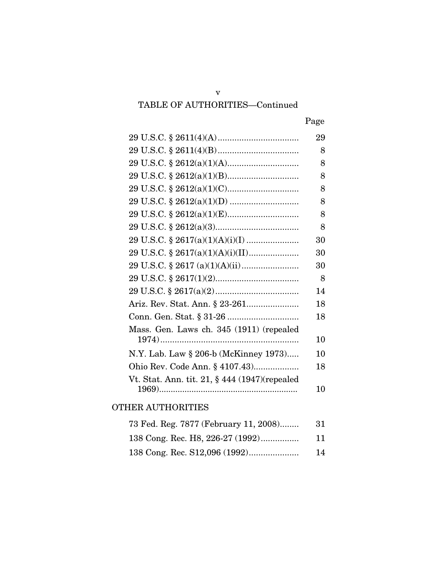| M.<br>۰. |
|----------|
|----------|

|                                               | 29 |
|-----------------------------------------------|----|
|                                               | 8  |
|                                               | 8  |
|                                               | 8  |
|                                               | 8  |
|                                               | 8  |
|                                               | 8  |
|                                               | 8  |
|                                               | 30 |
|                                               | 30 |
|                                               | 30 |
|                                               | 8  |
|                                               | 14 |
|                                               | 18 |
|                                               | 18 |
| Mass. Gen. Laws ch. 345 (1911) (repealed      |    |
|                                               | 10 |
| N.Y. Lab. Law § 206-b (McKinney 1973)         | 10 |
|                                               | 18 |
| Vt. Stat. Ann. tit. 21, § 444 (1947)(repealed |    |
|                                               | 10 |

### OTHER AUTHORITIES

| 73 Fed. Reg. 7877 (February 11, 2008) | -31 |
|---------------------------------------|-----|
| 138 Cong. Rec. H8, 226-27 (1992)      | 11  |
|                                       | 14  |

v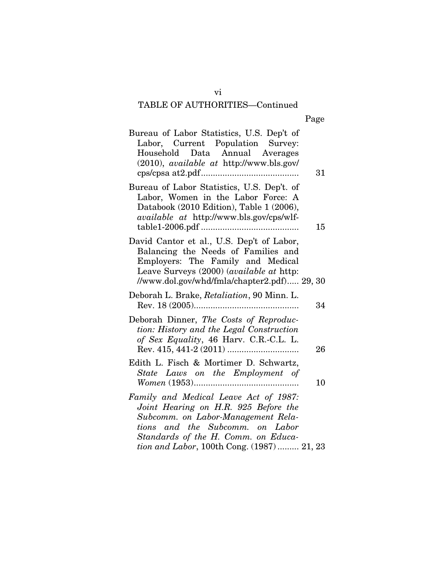| 31                                          |
|---------------------------------------------|
| 15                                          |
| //www.dol.gov/whd/fmla/chapter2.pdf) 29, 30 |
| 34                                          |
| 26                                          |
| 10                                          |
| tion and Labor, 100th Cong. (1987)  21, 23  |
|                                             |

vi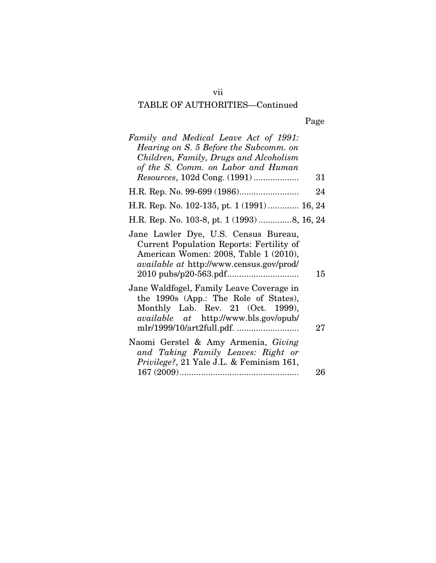# Page

| Family and Medical Leave Act of 1991:<br>Hearing on S. 5 Before the Subcomm. on<br>Children, Family, Drugs and Alcoholism                                              |    |
|------------------------------------------------------------------------------------------------------------------------------------------------------------------------|----|
| of the S. Comm. on Labor and Human<br><i>Resources</i> , 102d Cong. (1991)                                                                                             | 31 |
|                                                                                                                                                                        | 24 |
| H.R. Rep. No. 102-135, pt. 1 (1991)  16, 24                                                                                                                            |    |
| H.R. Rep. No. 103-8, pt. 1 (1993) 8, 16, 24                                                                                                                            |    |
| Jane Lawler Dye, U.S. Census Bureau,<br>Current Population Reports: Fertility of<br>American Women: 2008, Table 1 (2010),<br>available at http://www.census.gov/prod/  | 15 |
| Jane Waldfogel, Family Leave Coverage in<br>the 1990s (App.: The Role of States),<br>Monthly Lab. Rev. 21 (Oct. 1999),<br><i>available</i> at http://www.bls.gov/opub/ | 27 |
| Naomi Gerstel & Amy Armenia, Giving<br>and Taking Family Leaves: Right or<br>Privilege?, 21 Yale J.L. & Feminism 161,                                                  | 26 |
|                                                                                                                                                                        |    |

vii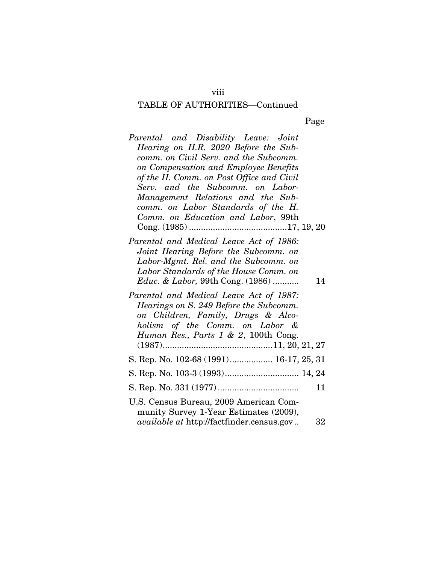| M.<br>۰. |
|----------|
|----------|

| Parental and Disability Leave: Joint<br>Hearing on H.R. 2020 Before the Sub-   |    |
|--------------------------------------------------------------------------------|----|
| comm. on Civil Serv. and the Subcomm.<br>on Compensation and Employee Benefits |    |
| of the H. Comm. on Post Office and Civil                                       |    |
| Serv. and the Subcomm. on Labor-                                               |    |
| Management Relations and the Sub-                                              |    |
| comm. on Labor Standards of the H.                                             |    |
| Comm. on Education and Labor, 99th                                             |    |
|                                                                                |    |
| Parental and Medical Leave Act of 1986:                                        |    |
| Joint Hearing Before the Subcomm. on<br>Labor-Mgmt. Rel. and the Subcomm. on   |    |
| Labor Standards of the House Comm. on                                          |    |
| Educ. & Labor, 99th Cong. (1986)                                               | 14 |
| Parental and Medical Leave Act of 1987:                                        |    |
| Hearings on S. 249 Before the Subcomm.                                         |    |
| on Children, Family, Drugs & Alco-                                             |    |
| holism of the Comm. on Labor &                                                 |    |
| Human Res., Parts 1 & 2, 100th Cong.                                           |    |
|                                                                                |    |
| S. Rep. No. 102-68 (1991) 16-17, 25, 31                                        |    |
|                                                                                |    |
|                                                                                | 11 |
| U.S. Census Bureau, 2009 American Com-                                         |    |
| munity Survey 1-Year Estimates (2009),                                         |    |
| <i>available at http://factfinder.census.gov</i>                               | 32 |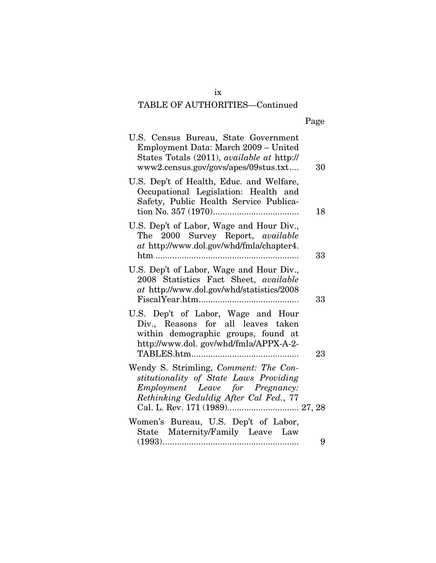| Page |
|------|
|------|

| U.S. Census Bureau, State Government<br>Employment Data: March 2009 - United<br>States Totals (2011), available at http://<br>www2.census.gov/govs/apes/09stus.txt | 30 |
|--------------------------------------------------------------------------------------------------------------------------------------------------------------------|----|
| U.S. Dep't of Health, Educ. and Welfare,<br>Occupational Legislation: Health and<br>Safety, Public Health Service Publica-                                         | 18 |
| U.S. Dep't of Labor, Wage and Hour Div.,<br>The 2000 Survey Report, available<br>at http://www.dol.gov/whd/fmla/chapter4.<br>$htm$                                 | 33 |
| U.S. Dep't of Labor, Wage and Hour Div.,<br>2008 Statistics Fact Sheet, available<br>at http://www.dol.gov/whd/statistics/2008                                     | 33 |
| U.S. Dep't of Labor, Wage and Hour<br>Div., Reasons for all leaves taken<br>within demographic groups, found at<br>http://www.dol.gov/whd/fmla/APPX-A-2-           |    |
| Wendy S. Strimling, Comment: The Con-<br>stitutionality of State Laws Providing<br>Employment Leave for Pregnancy:<br>Rethinking Geduldig After Cal Fed., 77       | 23 |
| Women's Bureau, U.S. Dep't of Labor,<br>State Maternity/Family Leave Law                                                                                           |    |
|                                                                                                                                                                    | 9  |

ix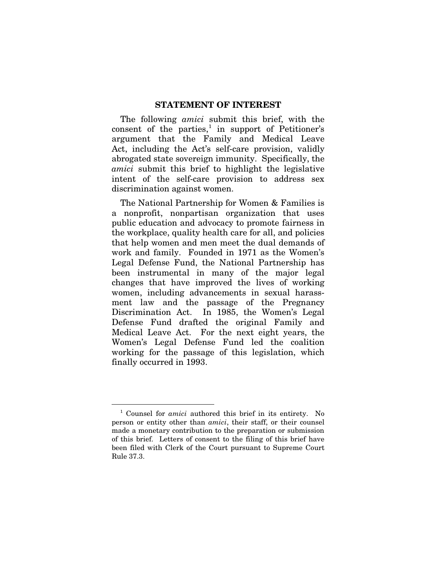#### **STATEMENT OF INTEREST**

The following *amici* submit this brief, with the consent of the parties, $\frac{1}{1}$  $\frac{1}{1}$  $\frac{1}{1}$  in support of Petitioner's argument that the Family and Medical Leave Act, including the Act's self-care provision, validly abrogated state sovereign immunity. Specifically, the *amici* submit this brief to highlight the legislative intent of the self-care provision to address sex discrimination against women.

The National Partnership for Women & Families is a nonprofit, nonpartisan organization that uses public education and advocacy to promote fairness in the workplace, quality health care for all, and policies that help women and men meet the dual demands of work and family. Founded in 1971 as the Women's Legal Defense Fund, the National Partnership has been instrumental in many of the major legal changes that have improved the lives of working women, including advancements in sexual harassment law and the passage of the Pregnancy Discrimination Act. In 1985, the Women's Legal Defense Fund drafted the original Family and Medical Leave Act. For the next eight years, the Women's Legal Defense Fund led the coalition working for the passage of this legislation, which finally occurred in 1993.

<span id="page-10-0"></span> <sup>1</sup> Counsel for *amici* authored this brief in its entirety. No person or entity other than *amici*, their staff, or their counsel made a monetary contribution to the preparation or submission of this brief. Letters of consent to the filing of this brief have been filed with Clerk of the Court pursuant to Supreme Court Rule 37.3.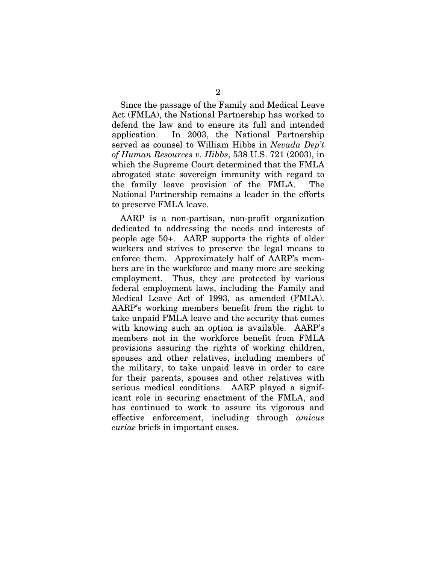Since the passage of the Family and Medical Leave Act (FMLA), the National Partnership has worked to defend the law and to ensure its full and intended application. In 2003, the National Partnership served as counsel to William Hibbs in *Nevada Dep't of Human Resources v. Hibbs*, 538 U.S. 721 (2003), in which the Supreme Court determined that the FMLA abrogated state sovereign immunity with regard to the family leave provision of the FMLA. The National Partnership remains a leader in the efforts to preserve FMLA leave.

AARP is a non-partisan, non-profit organization dedicated to addressing the needs and interests of people age 50+. AARP supports the rights of older workers and strives to preserve the legal means to enforce them. Approximately half of AARP's members are in the workforce and many more are seeking employment. Thus, they are protected by various federal employment laws, including the Family and Medical Leave Act of 1993, as amended (FMLA). AARP's working members benefit from the right to take unpaid FMLA leave and the security that comes with knowing such an option is available. AARP's members not in the workforce benefit from FMLA provisions assuring the rights of working children, spouses and other relatives, including members of the military, to take unpaid leave in order to care for their parents, spouses and other relatives with serious medical conditions. AARP played a significant role in securing enactment of the FMLA, and has continued to work to assure its vigorous and effective enforcement, including through *amicus curiae* briefs in important cases.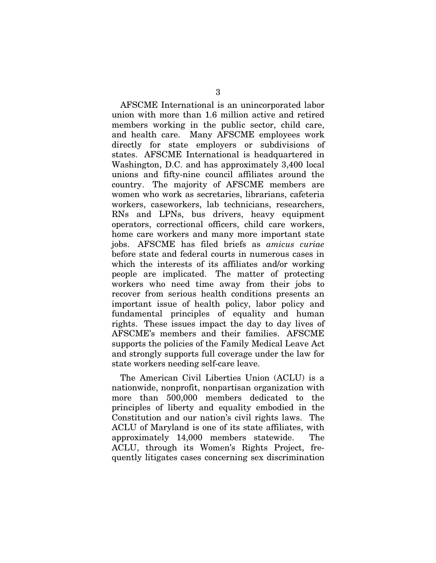AFSCME International is an unincorporated labor union with more than 1.6 million active and retired members working in the public sector, child care, and health care. Many AFSCME employees work directly for state employers or subdivisions of states. AFSCME International is headquartered in Washington, D.C. and has approximately 3,400 local unions and fifty-nine council affiliates around the country. The majority of AFSCME members are women who work as secretaries, librarians, cafeteria workers, caseworkers, lab technicians, researchers, RNs and LPNs, bus drivers, heavy equipment operators, correctional officers, child care workers, home care workers and many more important state jobs. AFSCME has filed briefs as *amicus curiae* before state and federal courts in numerous cases in which the interests of its affiliates and/or working people are implicated. The matter of protecting workers who need time away from their jobs to recover from serious health conditions presents an important issue of health policy, labor policy and fundamental principles of equality and human rights. These issues impact the day to day lives of AFSCME's members and their families. AFSCME supports the policies of the Family Medical Leave Act and strongly supports full coverage under the law for state workers needing self-care leave.

The American Civil Liberties Union (ACLU) is a nationwide, nonprofit, nonpartisan organization with more than 500,000 members dedicated to the principles of liberty and equality embodied in the Constitution and our nation's civil rights laws. The ACLU of Maryland is one of its state affiliates, with approximately 14,000 members statewide. The ACLU, through its Women's Rights Project, frequently litigates cases concerning sex discrimination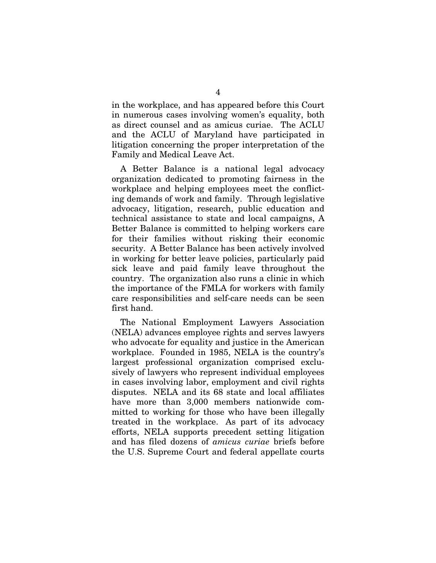in the workplace, and has appeared before this Court in numerous cases involving women's equality, both as direct counsel and as amicus curiae. The ACLU and the ACLU of Maryland have participated in litigation concerning the proper interpretation of the Family and Medical Leave Act.

A Better Balance is a national legal advocacy organization dedicated to promoting fairness in the workplace and helping employees meet the conflicting demands of work and family. Through legislative advocacy, litigation, research, public education and technical assistance to state and local campaigns, A Better Balance is committed to helping workers care for their families without risking their economic security. A Better Balance has been actively involved in working for better leave policies, particularly paid sick leave and paid family leave throughout the country. The organization also runs a clinic in which the importance of the FMLA for workers with family care responsibilities and self-care needs can be seen first hand.

The National Employment Lawyers Association (NELA) advances employee rights and serves lawyers who advocate for equality and justice in the American workplace. Founded in 1985, NELA is the country's largest professional organization comprised exclusively of lawyers who represent individual employees in cases involving labor, employment and civil rights disputes. NELA and its 68 state and local affiliates have more than 3,000 members nationwide committed to working for those who have been illegally treated in the workplace. As part of its advocacy efforts, NELA supports precedent setting litigation and has filed dozens of *amicus curiae* briefs before the U.S. Supreme Court and federal appellate courts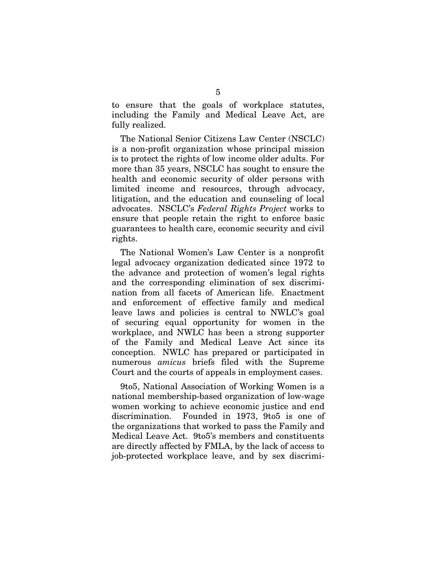to ensure that the goals of workplace statutes, including the Family and Medical Leave Act, are fully realized.

The National Senior Citizens Law Center (NSCLC) is a non-profit organization whose principal mission is to protect the rights of low income older adults. For more than 35 years, NSCLC has sought to ensure the health and economic security of older persons with limited income and resources, through advocacy, litigation, and the education and counseling of local advocates. NSCLC's *Federal Rights Project* works to ensure that people retain the right to enforce basic guarantees to health care, economic security and civil rights.

The National Women's Law Center is a nonprofit legal advocacy organization dedicated since 1972 to the advance and protection of women's legal rights and the corresponding elimination of sex discrimination from all facets of American life. Enactment and enforcement of effective family and medical leave laws and policies is central to NWLC's goal of securing equal opportunity for women in the workplace, and NWLC has been a strong supporter of the Family and Medical Leave Act since its conception. NWLC has prepared or participated in numerous *amicus* briefs filed with the Supreme Court and the courts of appeals in employment cases.

9to5, National Association of Working Women is a national membership-based organization of low-wage women working to achieve economic justice and end discrimination. Founded in 1973, 9to5 is one of the organizations that worked to pass the Family and Medical Leave Act. 9to5's members and constituents are directly affected by FMLA, by the lack of access to job-protected workplace leave, and by sex discrimi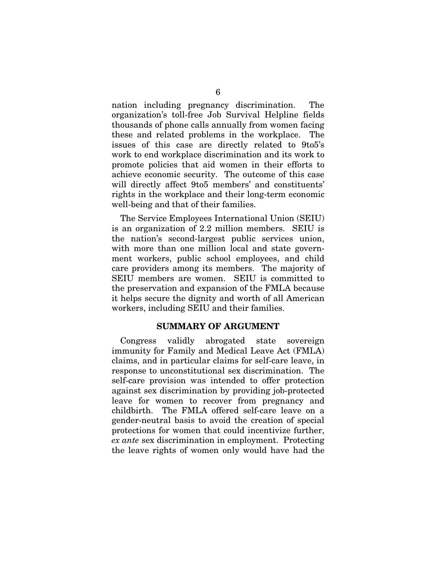nation including pregnancy discrimination. The organization's toll-free Job Survival Helpline fields thousands of phone calls annually from women facing these and related problems in the workplace. The issues of this case are directly related to 9to5's work to end workplace discrimination and its work to promote policies that aid women in their efforts to achieve economic security. The outcome of this case will directly affect 9to5 members' and constituents' rights in the workplace and their long-term economic well-being and that of their families.

The Service Employees International Union (SEIU) is an organization of 2.2 million members. SEIU is the nation's second-largest public services union, with more than one million local and state government workers, public school employees, and child care providers among its members. The majority of SEIU members are women. SEIU is committed to the preservation and expansion of the FMLA because it helps secure the dignity and worth of all American workers, including SEIU and their families.

#### **SUMMARY OF ARGUMENT**

Congress validly abrogated state sovereign immunity for Family and Medical Leave Act (FMLA) claims, and in particular claims for self-care leave, in response to unconstitutional sex discrimination. The self-care provision was intended to offer protection against sex discrimination by providing job-protected leave for women to recover from pregnancy and childbirth. The FMLA offered self-care leave on a gender-neutral basis to avoid the creation of special protections for women that could incentivize further, *ex ante* sex discrimination in employment. Protecting the leave rights of women only would have had the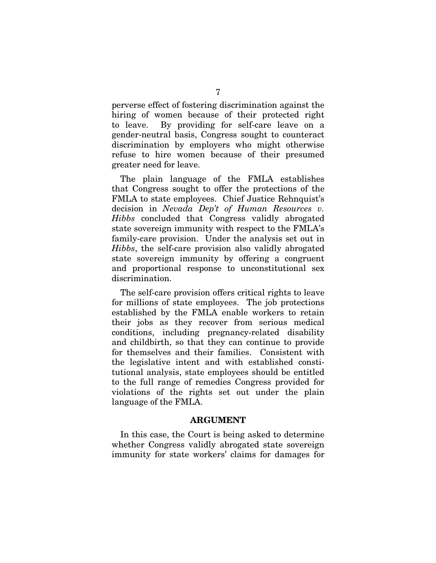perverse effect of fostering discrimination against the hiring of women because of their protected right to leave. By providing for self-care leave on a gender-neutral basis, Congress sought to counteract discrimination by employers who might otherwise refuse to hire women because of their presumed greater need for leave.

The plain language of the FMLA establishes that Congress sought to offer the protections of the FMLA to state employees. Chief Justice Rehnquist's decision in *Nevada Dep't of Human Resources v. Hibbs* concluded that Congress validly abrogated state sovereign immunity with respect to the FMLA's family-care provision. Under the analysis set out in *Hibbs*, the self-care provision also validly abrogated state sovereign immunity by offering a congruent and proportional response to unconstitutional sex discrimination.

The self-care provision offers critical rights to leave for millions of state employees. The job protections established by the FMLA enable workers to retain their jobs as they recover from serious medical conditions, including pregnancy-related disability and childbirth, so that they can continue to provide for themselves and their families. Consistent with the legislative intent and with established constitutional analysis, state employees should be entitled to the full range of remedies Congress provided for violations of the rights set out under the plain language of the FMLA.

#### **ARGUMENT**

In this case, the Court is being asked to determine whether Congress validly abrogated state sovereign immunity for state workers' claims for damages for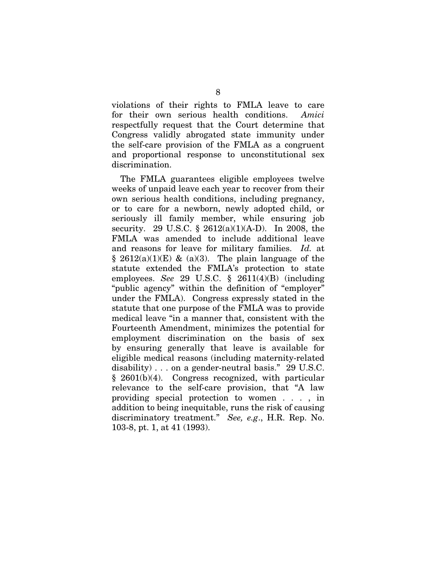violations of their rights to FMLA leave to care for their own serious health conditions. *Amici* respectfully request that the Court determine that Congress validly abrogated state immunity under the self-care provision of the FMLA as a congruent and proportional response to unconstitutional sex discrimination.

The FMLA guarantees eligible employees twelve weeks of unpaid leave each year to recover from their own serious health conditions, including pregnancy, or to care for a newborn, newly adopted child, or seriously ill family member, while ensuring job security. 29 U.S.C. § 2612(a)(1)(A-D). In 2008, the FMLA was amended to include additional leave and reasons for leave for military families. *Id.* at  $§$  2612(a)(1)(E) & (a)(3). The plain language of the statute extended the FMLA's protection to state employees. *See* 29 U.S.C. § 2611(4)(B) (including "public agency" within the definition of "employer" under the FMLA). Congress expressly stated in the statute that one purpose of the FMLA was to provide medical leave "in a manner that, consistent with the Fourteenth Amendment, minimizes the potential for employment discrimination on the basis of sex by ensuring generally that leave is available for eligible medical reasons (including maternity-related disability)... on a gender-neutral basis." 29 U.S.C. § 2601(b)(4). Congress recognized, with particular relevance to the self-care provision, that "A law providing special protection to women . . . , in addition to being inequitable, runs the risk of causing discriminatory treatment." *See, e.g*., H.R. Rep. No. 103-8, pt. 1, at 41 (1993).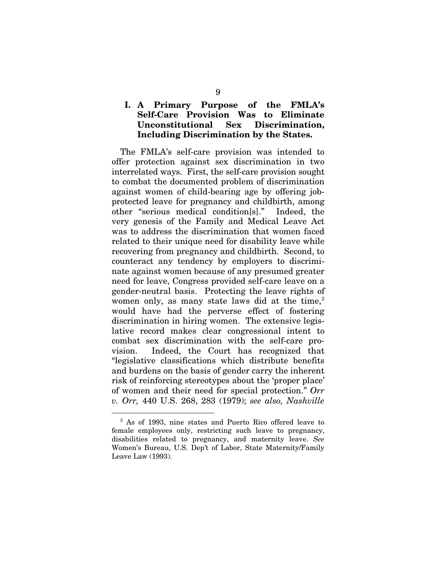### **I. A Primary Purpose of the FMLA's Self-Care Provision Was to Eliminate Unconstitutional Sex Discrimination, Including Discrimination by the States.**

The FMLA's self-care provision was intended to offer protection against sex discrimination in two interrelated ways. First, the self-care provision sought to combat the documented problem of discrimination against women of child-bearing age by offering jobprotected leave for pregnancy and childbirth, among other "serious medical condition[s]." Indeed, the very genesis of the Family and Medical Leave Act was to address the discrimination that women faced related to their unique need for disability leave while recovering from pregnancy and childbirth. Second, to counteract any tendency by employers to discriminate against women because of any presumed greater need for leave, Congress provided self-care leave on a gender-neutral basis. Protecting the leave rights of women only, as many state laws did at the time, $2$ would have had the perverse effect of fostering discrimination in hiring women. The extensive legislative record makes clear congressional intent to combat sex discrimination with the self-care provision. Indeed, the Court has recognized that "legislative classifications which distribute benefits and burdens on the basis of gender carry the inherent risk of reinforcing stereotypes about the 'proper place' of women and their need for special protection." *Orr v. Orr,* 440 U.S. 268, 283 (1979); *see also, Nashville*

<span id="page-18-0"></span> <sup>2</sup> As of 1993, nine states and Puerto Rico offered leave to female employees only, restricting such leave to pregnancy, disabilities related to pregnancy, and maternity leave. *See* Women's Bureau, U.S. Dep't of Labor, State Maternity/Family Leave Law (1993).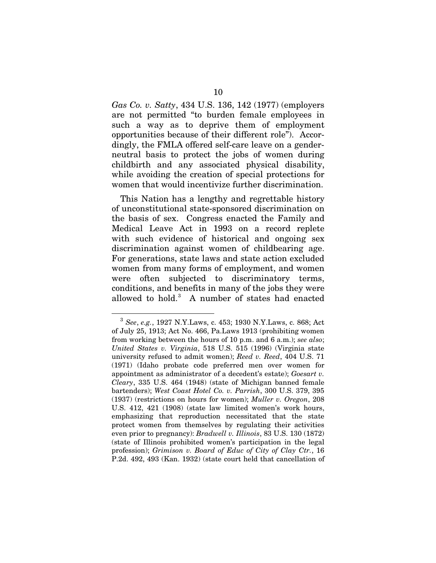*Gas Co. v. Satty*, 434 U.S. 136, 142 (1977) (employers are not permitted "to burden female employees in such a way as to deprive them of employment opportunities because of their different role").Accordingly, the FMLA offered self-care leave on a genderneutral basis to protect the jobs of women during childbirth and any associated physical disability, while avoiding the creation of special protections for women that would incentivize further discrimination.

This Nation has a lengthy and regrettable history of unconstitutional state-sponsored discrimination on the basis of sex. Congress enacted the Family and Medical Leave Act in 1993 on a record replete with such evidence of historical and ongoing sex discrimination against women of childbearing age. For generations, state laws and state action excluded women from many forms of employment, and women were often subjected to discriminatory terms, conditions, and benefits in many of the jobs they were allowed to hold. [3](#page-19-0) A number of states had enacted

<span id="page-19-0"></span> <sup>3</sup> *See*, *e.g.*, 1927 N.Y.Laws, c. 453; 1930 N.Y.Laws, c. 868; Act of July 25, 1913; Act No. 466, Pa.Laws 1913 (prohibiting women from working between the hours of 10 p.m. and 6 a.m.); *see also*; *United States v. Virginia*, 518 U.S. 515 (1996) (Virginia state university refused to admit women); *Reed v. Reed*, 404 U.S. 71 (1971) (Idaho probate code preferred men over women for appointment as administrator of a decedent's estate); *Goesart v. Cleary*, 335 U.S. 464 (1948) (state of Michigan banned female bartenders); *West Coast Hotel Co. v. Parrish*, 300 U.S. 379, 395 (1937) (restrictions on hours for women); *Muller v. Oregon*, 208 U.S. 412, 421 (1908) (state law limited women's work hours, emphasizing that reproduction necessitated that the state protect women from themselves by regulating their activities even prior to pregnancy): *Bradwell v. Illinois*, 83 U.S. 130 (1872) (state of Illinois prohibited women's participation in the legal profession); *Grimison v. Board of Educ of City of Clay Ctr.*, 16 P.2d. 492, 493 (Kan. 1932) (state court held that cancellation of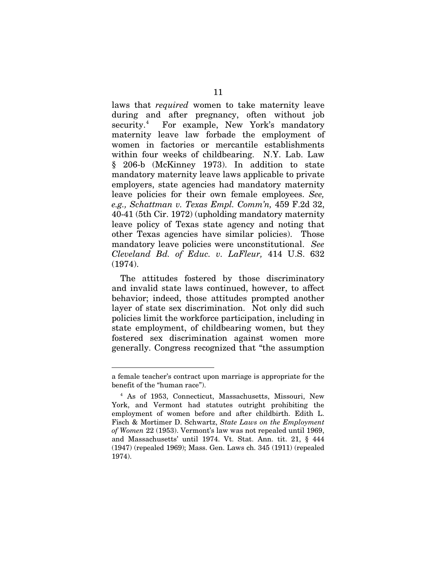laws that *required* women to take maternity leave during and after pregnancy, often without job security.<sup>[4](#page-20-0)</sup> For example, New York's mandatory maternity leave law forbade the employment of women in factories or mercantile establishments within four weeks of childbearing. N.Y. Lab. Law § 206-b (McKinney 1973). In addition to state mandatory maternity leave laws applicable to private employers, state agencies had mandatory maternity leave policies for their own female employees. *See, e.g., Schattman v. Texas Empl. Comm'n,* 459 F.2d 32, 40-41 (5th Cir. 1972) (upholding mandatory maternity leave policy of Texas state agency and noting that other Texas agencies have similar policies). Those mandatory leave policies were unconstitutional. *See Cleveland Bd. of Educ. v. LaFleur,* 414 U.S. 632 (1974).

The attitudes fostered by those discriminatory and invalid state laws continued, however, to affect behavior; indeed, those attitudes prompted another layer of state sex discrimination. Not only did such policies limit the workforce participation, including in state employment, of childbearing women, but they fostered sex discrimination against women more generally. Congress recognized that "the assumption

-

a female teacher's contract upon marriage is appropriate for the benefit of the "human race").

<span id="page-20-0"></span><sup>4</sup> As of 1953, Connecticut, Massachusetts, Missouri, New York, and Vermont had statutes outright prohibiting the employment of women before and after childbirth. Edith L. Fisch & Mortimer D. Schwartz, *State Laws on the Employment of Women* 22 (1953). Vermont's law was not repealed until 1969, and Massachusetts' until 1974. Vt. Stat. Ann. tit. 21, § 444 (1947) (repealed 1969); Mass. Gen. Laws ch. 345 (1911) (repealed 1974).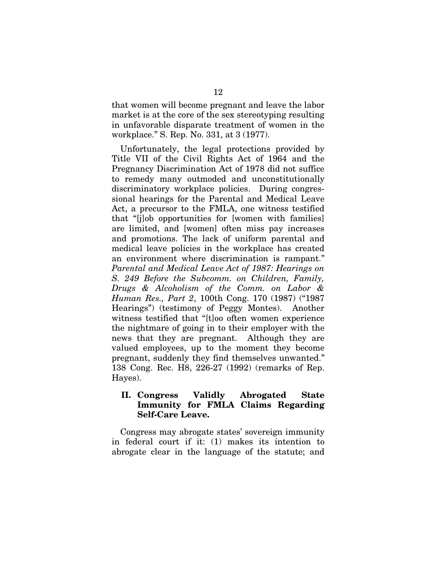that women will become pregnant and leave the labor market is at the core of the sex stereotyping resulting in unfavorable disparate treatment of women in the workplace." S. Rep. No. 331, at 3 (1977).

Unfortunately, the legal protections provided by Title VII of the Civil Rights Act of 1964 and the Pregnancy Discrimination Act of 1978 did not suffice to remedy many outmoded and unconstitutionally discriminatory workplace policies. During congressional hearings for the Parental and Medical Leave Act, a precursor to the FMLA, one witness testified that "[j]ob opportunities for [women with families] are limited, and [women] often miss pay increases and promotions. The lack of uniform parental and medical leave policies in the workplace has created an environment where discrimination is rampant." *Parental and Medical Leave Act of 1987: Hearings on S. 249 Before the Subcomm. on Children, Family, Drugs & Alcoholism of the Comm. on Labor & Human Res., Part 2*, 100th Cong. 170 (1987) ("1987 Hearings") (testimony of Peggy Montes). Another witness testified that "[t]oo often women experience the nightmare of going in to their employer with the news that they are pregnant. Although they are valued employees, up to the moment they become pregnant, suddenly they find themselves unwanted." 138 Cong. Rec. H8, 226-27 (1992) (remarks of Rep. Hayes).

#### **II. Congress Validly Abrogated State Immunity for FMLA Claims Regarding Self-Care Leave.**

Congress may abrogate states' sovereign immunity in federal court if it: (1) makes its intention to abrogate clear in the language of the statute; and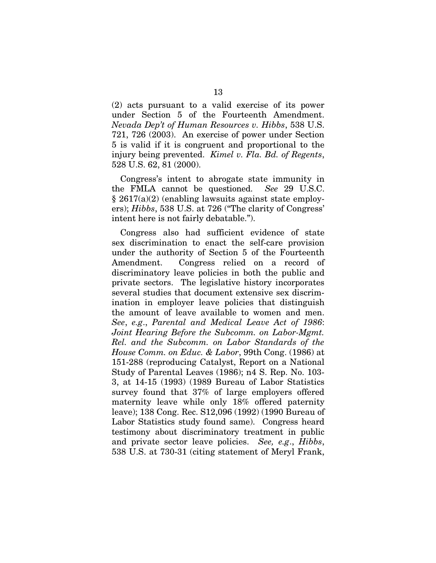(2) acts pursuant to a valid exercise of its power under Section 5 of the Fourteenth Amendment. *Nevada Dep't of Human Resources v. Hibbs*, 538 U.S. 721, 726 (2003). An exercise of power under Section 5 is valid if it is congruent and proportional to the injury being prevented. *Kimel v. Fla. Bd. of Regents*, 528 U.S. 62, 81 (2000).

Congress's intent to abrogate state immunity in the FMLA cannot be questioned. *See* 29 U.S.C. § 2617(a)(2) (enabling lawsuits against state employers); *Hibbs*, 538 U.S. at 726 ("The clarity of Congress' intent here is not fairly debatable.").

Congress also had sufficient evidence of state sex discrimination to enact the self-care provision under the authority of Section 5 of the Fourteenth Amendment. Congress relied on a record of discriminatory leave policies in both the public and private sectors. The legislative history incorporates several studies that document extensive sex discrimination in employer leave policies that distinguish the amount of leave available to women and men. *See*, *e.g*., *Parental and Medical Leave Act of 1986*: *Joint Hearing Before the Subcomm. on Labor-Mgmt. Rel. and the Subcomm. on Labor Standards of the House Comm. on Educ. & Labor*, 99th Cong. (1986) at 151-288 (reproducing Catalyst, Report on a National Study of Parental Leaves (1986); n4 S. Rep. No. 103- 3, at 14-15 (1993) (1989 Bureau of Labor Statistics survey found that 37% of large employers offered maternity leave while only 18% offered paternity leave); 138 Cong. Rec. S12,096 (1992) (1990 Bureau of Labor Statistics study found same). Congress heard testimony about discriminatory treatment in public and private sector leave policies. *See, e.g*., *Hibbs*, 538 U.S. at 730-31 (citing statement of Meryl Frank,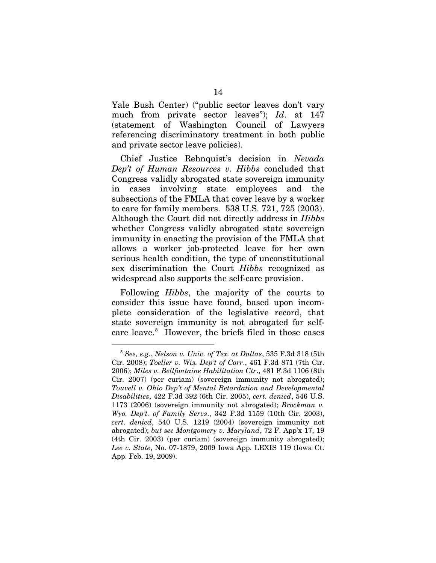Yale Bush Center) ("public sector leaves don't vary much from private sector leaves"); *Id*. at 147 (statement of Washington Council of Lawyers referencing discriminatory treatment in both public and private sector leave policies).

Chief Justice Rehnquist's decision in *Nevada Dep't of Human Resources v. Hibbs* concluded that Congress validly abrogated state sovereign immunity in cases involving state employees and the subsections of the FMLA that cover leave by a worker to care for family members. 538 U.S. 721, 725 (2003). Although the Court did not directly address in *Hibbs*  whether Congress validly abrogated state sovereign immunity in enacting the provision of the FMLA that allows a worker job-protected leave for her own serious health condition, the type of unconstitutional sex discrimination the Court *Hibbs* recognized as widespread also supports the self-care provision.

Following *Hibbs*, the majority of the courts to consider this issue have found, based upon incomplete consideration of the legislative record, that state sovereign immunity is not abrogated for self-care leave.<sup>[5](#page-23-0)</sup> However, the briefs filed in those cases

<span id="page-23-0"></span> <sup>5</sup> *See, e.g.*, *Nelson v. Univ. of Tex. at Dallas*, 535 F.3d 318 (5th Cir. 2008); *Toeller v. Wis. Dep't of Corr*., 461 F.3d 871 (7th Cir. 2006); *Miles v. Bellfontaine Habilitation Ctr*., 481 F.3d 1106 (8th Cir. 2007) (per curiam) (sovereign immunity not abrogated); *Touvell v. Ohio Dep't of Mental Retardation and Developmental Disabilities*, 422 F.3d 392 (6th Cir. 2005), *cert. denied*, 546 U.S. 1173 (2006) (sovereign immunity not abrogated); *Brockman v. Wyo. Dep't. of Family Servs*., 342 F.3d 1159 (10th Cir. 2003), *cert*. *denied*, 540 U.S. 1219 (2004) (sovereign immunity not abrogated); *but see Montgomery v. Maryland*, 72 F. App'x 17, 19 (4th Cir. 2003) (per curiam) (sovereign immunity abrogated); *Lee v. State*, No. 07-1879, 2009 Iowa App. LEXIS 119 (Iowa Ct. App. Feb. 19, 2009).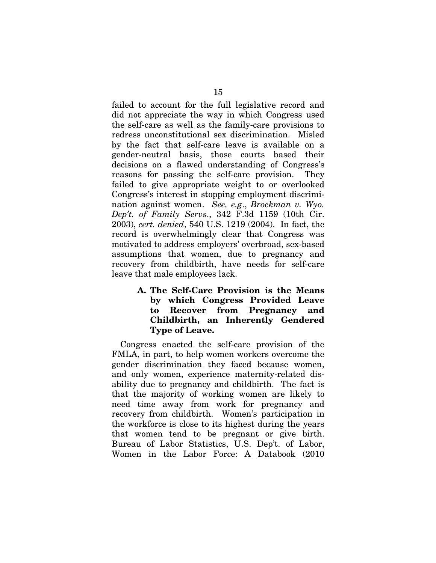failed to account for the full legislative record and did not appreciate the way in which Congress used the self-care as well as the family-care provisions to redress unconstitutional sex discrimination. Misled by the fact that self-care leave is available on a gender-neutral basis, those courts based their decisions on a flawed understanding of Congress's reasons for passing the self-care provision. They failed to give appropriate weight to or overlooked Congress's interest in stopping employment discrimination against women. *See, e.g*., *Brockman v. Wyo. Dep't. of Family Servs*., 342 F.3d 1159 (10th Cir. 2003), *cert. denied*, 540 U.S. 1219 (2004). In fact, the record is overwhelmingly clear that Congress was motivated to address employers' overbroad, sex-based assumptions that women, due to pregnancy and recovery from childbirth, have needs for self-care leave that male employees lack.

> **A. The Self-Care Provision is the Means by which Congress Provided Leave to Recover from Pregnancy and Childbirth, an Inherently Gendered Type of Leave.**

Congress enacted the self-care provision of the FMLA, in part, to help women workers overcome the gender discrimination they faced because women, and only women, experience maternity-related disability due to pregnancy and childbirth. The fact is that the majority of working women are likely to need time away from work for pregnancy and recovery from childbirth. Women's participation in the workforce is close to its highest during the years that women tend to be pregnant or give birth. Bureau of Labor Statistics, U.S. Dep't. of Labor, Women in the Labor Force: A Databook (2010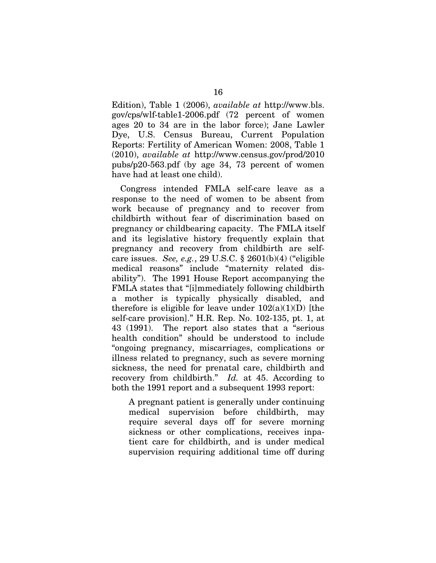Edition), Table 1 (2006), *available at* http://www.bls. gov/cps/wlf-table1-2006.pdf (72 percent of women ages 20 to 34 are in the labor force); Jane Lawler Dye, U.S. Census Bureau, Current Population Reports: Fertility of American Women: 2008, Table 1 (2010), *available at* http://www.census.gov/prod/2010 pubs/p20-563.pdf (by age 34, 73 percent of women have had at least one child).

Congress intended FMLA self-care leave as a response to the need of women to be absent from work because of pregnancy and to recover from childbirth without fear of discrimination based on pregnancy or childbearing capacity. The FMLA itself and its legislative history frequently explain that pregnancy and recovery from childbirth are selfcare issues. *See, e.g.*, 29 U.S.C. § 2601(b)(4) ("eligible medical reasons" include "maternity related disability"). The 1991 House Report accompanying the FMLA states that "[i]mmediately following childbirth a mother is typically physically disabled, and therefore is eligible for leave under  $102(a)(1)(D)$  [the self-care provision]." H.R. Rep. No. 102-135, pt. 1, at 43 (1991). The report also states that a "serious health condition" should be understood to include "ongoing pregnancy, miscarriages, complications or illness related to pregnancy, such as severe morning sickness, the need for prenatal care, childbirth and recovery from childbirth." *Id.* at 45. According to both the 1991 report and a subsequent 1993 report:

A pregnant patient is generally under continuing medical supervision before childbirth, may require several days off for severe morning sickness or other complications, receives inpatient care for childbirth, and is under medical supervision requiring additional time off during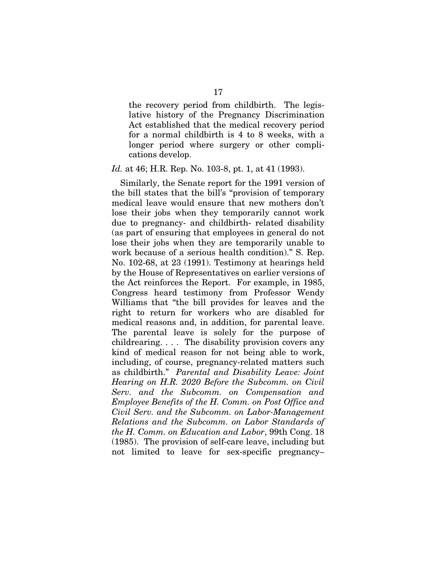the recovery period from childbirth. The legislative history of the Pregnancy Discrimination Act established that the medical recovery period for a normal childbirth is 4 to 8 weeks, with a longer period where surgery or other complications develop.

*Id.* at 46; H.R. Rep. No. 103-8, pt. 1, at 41 (1993).

Similarly, the Senate report for the 1991 version of the bill states that the bill's "provision of temporary medical leave would ensure that new mothers don't lose their jobs when they temporarily cannot work due to pregnancy- and childbirth- related disability (as part of ensuring that employees in general do not lose their jobs when they are temporarily unable to work because of a serious health condition)." S. Rep. No. 102-68, at 23 (1991). Testimony at hearings held by the House of Representatives on earlier versions of the Act reinforces the Report. For example, in 1985, Congress heard testimony from Professor Wendy Williams that "the bill provides for leaves and the right to return for workers who are disabled for medical reasons and, in addition, for parental leave. The parental leave is solely for the purpose of childrearing. . . . The disability provision covers any kind of medical reason for not being able to work, including, of course, pregnancy-related matters such as childbirth." *Parental and Disability Leave: Joint Hearing on H.R. 2020 Before the Subcomm. on Civil Serv. and the Subcomm. on Compensation and Employee Benefits of the H. Comm. on Post Office and Civil Serv. and the Subcomm. on Labor-Management Relations and the Subcomm. on Labor Standards of the H. Comm. on Education and Labor*, 99th Cong. 18 (1985). The provision of self-care leave, including but not limited to leave for sex-specific pregnancy–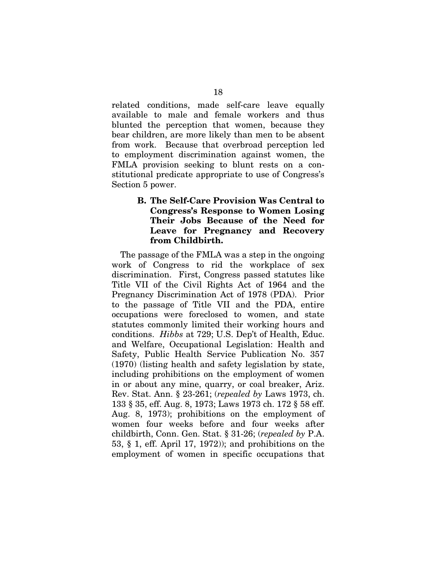related conditions, made self-care leave equally available to male and female workers and thus blunted the perception that women, because they bear children, are more likely than men to be absent from work. Because that overbroad perception led to employment discrimination against women, the FMLA provision seeking to blunt rests on a constitutional predicate appropriate to use of Congress's Section 5 power.

### **B. The Self-Care Provision Was Central to Congress's Response to Women Losing Their Jobs Because of the Need for Leave for Pregnancy and Recovery from Childbirth.**

The passage of the FMLA was a step in the ongoing work of Congress to rid the workplace of sex discrimination. First, Congress passed statutes like Title VII of the Civil Rights Act of 1964 and the Pregnancy Discrimination Act of 1978 (PDA). Prior to the passage of Title VII and the PDA, entire occupations were foreclosed to women, and state statutes commonly limited their working hours and conditions. *Hibbs* at 729; U.S. Dep't of Health, Educ. and Welfare, Occupational Legislation: Health and Safety, Public Health Service Publication No. 357 (1970) (listing health and safety legislation by state, including prohibitions on the employment of women in or about any mine, quarry, or coal breaker, Ariz. Rev. Stat. Ann. § 23-261; (*repealed by* Laws 1973, ch. 133 § 35, eff. Aug. 8, 1973; Laws 1973 ch. 172 § 58 eff. Aug. 8, 1973); prohibitions on the employment of women four weeks before and four weeks after childbirth, Conn. Gen. Stat. § 31-26; (*repealed by* P.A. 53, § 1, eff. April 17, 1972)); and prohibitions on the employment of women in specific occupations that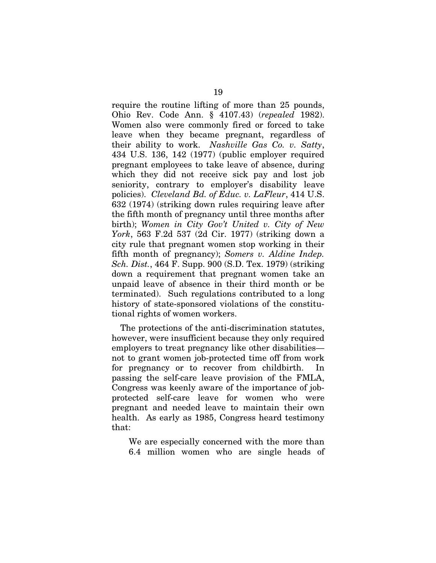require the routine lifting of more than 25 pounds, Ohio Rev. Code Ann. § 4107.43) (*repealed* 1982). Women also were commonly fired or forced to take leave when they became pregnant, regardless of their ability to work. *Nashville Gas Co. v. Satty*, 434 U.S. 136, 142 (1977) (public employer required pregnant employees to take leave of absence, during which they did not receive sick pay and lost job seniority, contrary to employer's disability leave policies). *Cleveland Bd. of Educ. v. LaFleur*, 414 U.S. 632 (1974) (striking down rules requiring leave after the fifth month of pregnancy until three months after birth); *Women in City Gov't United v. City of New York*, 563 F.2d 537 (2d Cir. 1977) (striking down a city rule that pregnant women stop working in their fifth month of pregnancy); *Somers v. Aldine Indep. Sch. Dist.*, 464 F. Supp. 900 (S.D. Tex. 1979) (striking down a requirement that pregnant women take an unpaid leave of absence in their third month or be terminated). Such regulations contributed to a long history of state-sponsored violations of the constitutional rights of women workers.

The protections of the anti-discrimination statutes, however, were insufficient because they only required employers to treat pregnancy like other disabilities not to grant women job-protected time off from work for pregnancy or to recover from childbirth. In passing the self-care leave provision of the FMLA, Congress was keenly aware of the importance of jobprotected self-care leave for women who were pregnant and needed leave to maintain their own health. As early as 1985, Congress heard testimony that:

We are especially concerned with the more than 6.4 million women who are single heads of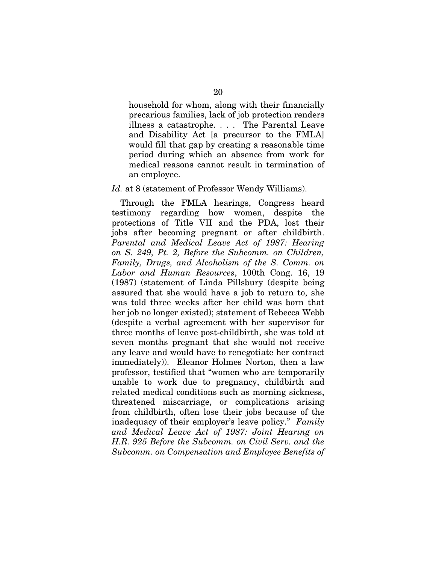household for whom, along with their financially precarious families, lack of job protection renders illness a catastrophe. . . . The Parental Leave and Disability Act [a precursor to the FMLA] would fill that gap by creating a reasonable time period during which an absence from work for medical reasons cannot result in termination of an employee.

#### *Id.* at 8 (statement of Professor Wendy Williams).

Through the FMLA hearings, Congress heard testimony regarding how women, despite the protections of Title VII and the PDA, lost their jobs after becoming pregnant or after childbirth. *Parental and Medical Leave Act of 1987: Hearing on S. 249, Pt. 2, Before the Subcomm. on Children, Family, Drugs, and Alcoholism of the S. Comm. on Labor and Human Resources*, 100th Cong. 16, 19 (1987) (statement of Linda Pillsbury (despite being assured that she would have a job to return to, she was told three weeks after her child was born that her job no longer existed); statement of Rebecca Webb (despite a verbal agreement with her supervisor for three months of leave post-childbirth, she was told at seven months pregnant that she would not receive any leave and would have to renegotiate her contract immediately)). Eleanor Holmes Norton, then a law professor, testified that "women who are temporarily unable to work due to pregnancy, childbirth and related medical conditions such as morning sickness, threatened miscarriage, or complications arising from childbirth, often lose their jobs because of the inadequacy of their employer's leave policy." *Family and Medical Leave Act of 1987: Joint Hearing on H.R. 925 Before the Subcomm. on Civil Serv. and the Subcomm. on Compensation and Employee Benefits of*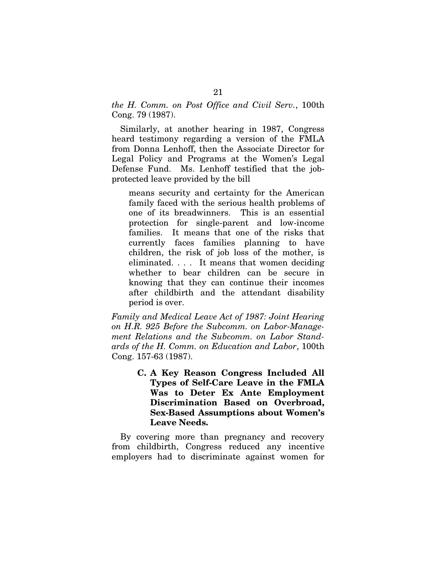*the H. Comm. on Post Office and Civil Serv.*, 100th Cong. 79 (1987).

Similarly, at another hearing in 1987, Congress heard testimony regarding a version of the FMLA from Donna Lenhoff, then the Associate Director for Legal Policy and Programs at the Women's Legal Defense Fund. Ms. Lenhoff testified that the jobprotected leave provided by the bill

means security and certainty for the American family faced with the serious health problems of one of its breadwinners. This is an essential protection for single-parent and low-income families. It means that one of the risks that currently faces families planning to have children, the risk of job loss of the mother, is eliminated. . . . It means that women deciding whether to bear children can be secure in knowing that they can continue their incomes after childbirth and the attendant disability period is over.

*Family and Medical Leave Act of 1987: Joint Hearing on H.R. 925 Before the Subcomm. on Labor-Management Relations and the Subcomm. on Labor Standards of the H. Comm. on Education and Labor*, 100th Cong. 157-63 (1987).

> **C. A Key Reason Congress Included All Types of Self-Care Leave in the FMLA Was to Deter Ex Ante Employment Discrimination Based on Overbroad, Sex-Based Assumptions about Women's Leave Needs.**

By covering more than pregnancy and recovery from childbirth, Congress reduced any incentive employers had to discriminate against women for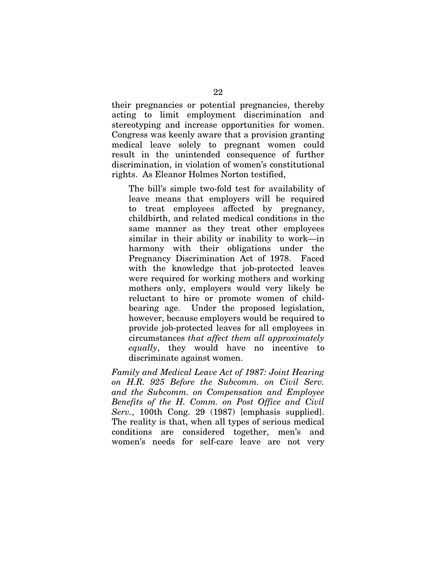their pregnancies or potential pregnancies, thereby acting to limit employment discrimination and stereotyping and increase opportunities for women. Congress was keenly aware that a provision granting medical leave solely to pregnant women could result in the unintended consequence of further discrimination, in violation of women's constitutional rights. As Eleanor Holmes Norton testified,

The bill's simple two-fold test for availability of leave means that employers will be required to treat employees affected by pregnancy, childbirth, and related medical conditions in the same manner as they treat other employees similar in their ability or inability to work—in harmony with their obligations under the Pregnancy Discrimination Act of 1978. Faced with the knowledge that job-protected leaves were required for working mothers and working mothers only, employers would very likely be reluctant to hire or promote women of childbearing age. Under the proposed legislation, however, because employers would be required to provide job-protected leaves for all employees in circumstances *that affect them all approximately equally*, they would have no incentive to discriminate against women.

*Family and Medical Leave Act of 1987: Joint Hearing on H.R. 925 Before the Subcomm. on Civil Serv. and the Subcomm. on Compensation and Employee Benefits of the H. Comm. on Post Office and Civil Serv.*, 100th Cong. 29 (1987) [emphasis supplied]. The reality is that, when all types of serious medical conditions are considered together, men's and women's needs for self-care leave are not very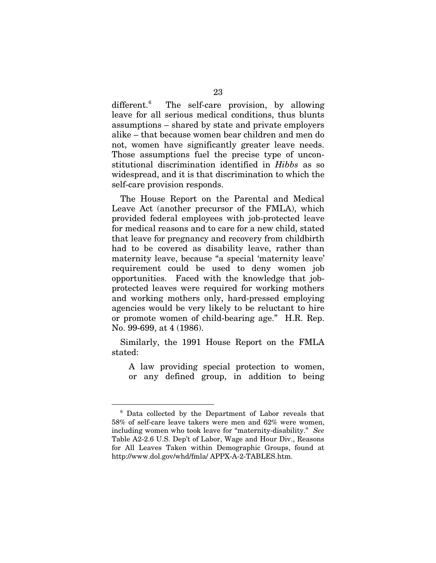different.<sup>[6](#page-32-0)</sup> The self-care provision, by allowing leave for all serious medical conditions, thus blunts assumptions – shared by state and private employers alike – that because women bear children and men do not, women have significantly greater leave needs. Those assumptions fuel the precise type of unconstitutional discrimination identified in *Hibbs* as so widespread, and it is that discrimination to which the self-care provision responds.

The House Report on the Parental and Medical Leave Act (another precursor of the FMLA), which provided federal employees with job-protected leave for medical reasons and to care for a new child, stated that leave for pregnancy and recovery from childbirth had to be covered as disability leave, rather than maternity leave, because "a special 'maternity leave' requirement could be used to deny women job opportunities. Faced with the knowledge that jobprotected leaves were required for working mothers and working mothers only, hard-pressed employing agencies would be very likely to be reluctant to hire or promote women of child-bearing age." H.R. Rep. No. 99-699, at 4 (1986).

Similarly, the 1991 House Report on the FMLA stated:

A law providing special protection to women, or any defined group, in addition to being

<span id="page-32-0"></span> <sup>6</sup> Data collected by the Department of Labor reveals that 58% of self-care leave takers were men and 62% were women, including women who took leave for "maternity-disability." *See*  Table A2-2.6 U.S. Dep't of Labor, Wage and Hour Div., Reasons for All Leaves Taken within Demographic Groups, found at <http://www.dol.gov/whd/fmla/> APPX-A-2-TABLES.htm.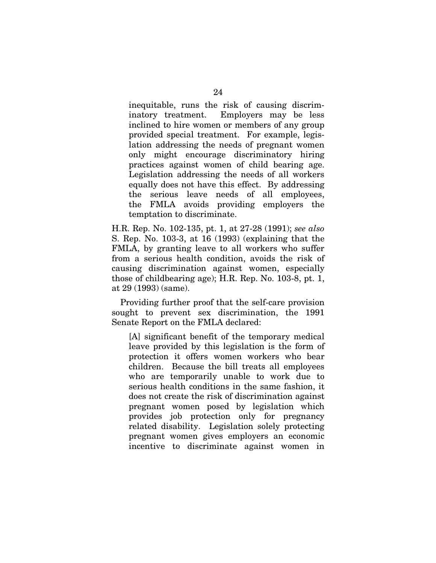inequitable, runs the risk of causing discriminatory treatment. Employers may be less inclined to hire women or members of any group provided special treatment. For example, legislation addressing the needs of pregnant women only might encourage discriminatory hiring practices against women of child bearing age. Legislation addressing the needs of all workers equally does not have this effect. By addressing the serious leave needs of all employees, the FMLA avoids providing employers the temptation to discriminate.

H.R. Rep. No. 102-135, pt. 1, at 27-28 (1991); *see also* S. Rep. No. 103-3, at 16 (1993) (explaining that the FMLA, by granting leave to all workers who suffer from a serious health condition, avoids the risk of causing discrimination against women, especially those of childbearing age); H.R. Rep. No. 103-8, pt. 1, at 29 (1993) (same).

Providing further proof that the self-care provision sought to prevent sex discrimination, the 1991 Senate Report on the FMLA declared:

[A] significant benefit of the temporary medical leave provided by this legislation is the form of protection it offers women workers who bear children. Because the bill treats all employees who are temporarily unable to work due to serious health conditions in the same fashion, it does not create the risk of discrimination against pregnant women posed by legislation which provides job protection only for pregnancy related disability. Legislation solely protecting pregnant women gives employers an economic incentive to discriminate against women in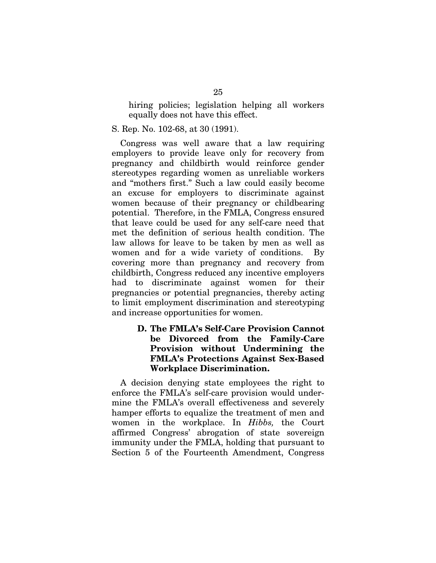hiring policies; legislation helping all workers equally does not have this effect.

S. Rep. No. 102-68, at 30 (1991).

Congress was well aware that a law requiring employers to provide leave only for recovery from pregnancy and childbirth would reinforce gender stereotypes regarding women as unreliable workers and "mothers first." Such a law could easily become an excuse for employers to discriminate against women because of their pregnancy or childbearing potential. Therefore, in the FMLA, Congress ensured that leave could be used for any self-care need that met the definition of serious health condition. The law allows for leave to be taken by men as well as women and for a wide variety of conditions. By covering more than pregnancy and recovery from childbirth, Congress reduced any incentive employers had to discriminate against women for their pregnancies or potential pregnancies, thereby acting to limit employment discrimination and stereotyping and increase opportunities for women.

### **D. The FMLA's Self-Care Provision Cannot be Divorced from the Family-Care Provision without Undermining the FMLA's Protections Against Sex-Based Workplace Discrimination.**

A decision denying state employees the right to enforce the FMLA's self-care provision would undermine the FMLA's overall effectiveness and severely hamper efforts to equalize the treatment of men and women in the workplace. In *Hibbs,* the Court affirmed Congress' abrogation of state sovereign immunity under the FMLA, holding that pursuant to Section 5 of the Fourteenth Amendment, Congress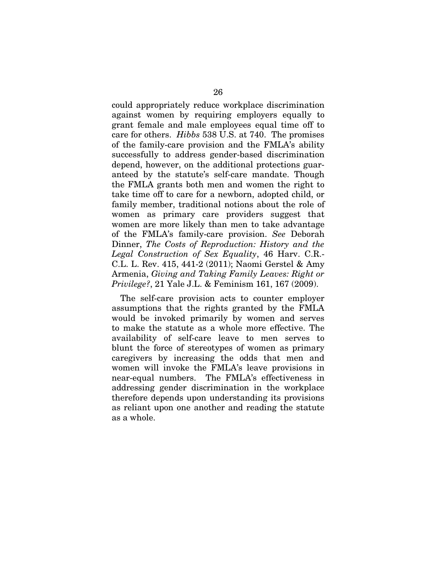could appropriately reduce workplace discrimination against women by requiring employers equally to grant female and male employees equal time off to care for others. *Hibbs* 538 U.S. at 740. The promises of the family-care provision and the FMLA's ability successfully to address gender-based discrimination depend, however, on the additional protections guaranteed by the statute's self-care mandate. Though the FMLA grants both men and women the right to take time off to care for a newborn, adopted child, or family member, traditional notions about the role of women as primary care providers suggest that women are more likely than men to take advantage of the FMLA's family-care provision. *See* Deborah Dinner, *The Costs of Reproduction: History and the Legal Construction of Sex Equality*, 46 Harv. C.R.- C.L. L. Rev. 415, 441-2 (2011); Naomi Gerstel & Amy Armenia, *Giving and Taking Family Leaves: Right or Privilege?*, 21 Yale J.L. & Feminism 161, 167 (2009).

The self-care provision acts to counter employer assumptions that the rights granted by the FMLA would be invoked primarily by women and serves to make the statute as a whole more effective. The availability of self-care leave to men serves to blunt the force of stereotypes of women as primary caregivers by increasing the odds that men and women will invoke the FMLA's leave provisions in near-equal numbers. The FMLA's effectiveness in addressing gender discrimination in the workplace therefore depends upon understanding its provisions as reliant upon one another and reading the statute as a whole.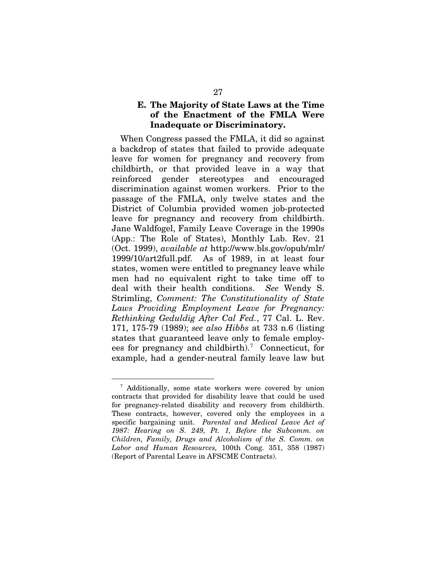#### **E. The Majority of State Laws at the Time of the Enactment of the FMLA Were Inadequate or Discriminatory.**

When Congress passed the FMLA, it did so against a backdrop of states that failed to provide adequate leave for women for pregnancy and recovery from childbirth, or that provided leave in a way that reinforced gender stereotypes and encouraged discrimination against women workers. Prior to the passage of the FMLA, only twelve states and the District of Columbia provided women job-protected leave for pregnancy and recovery from childbirth. Jane Waldfogel, Family Leave Coverage in the 1990s (App.: The Role of States), Monthly Lab. Rev. 21 (Oct. 1999), *available at* http://www.bls.gov/opub/mlr/ 1999/10/art2full.pdf. As of 1989, in at least four states, women were entitled to pregnancy leave while men had no equivalent right to take time off to deal with their health conditions. *See* Wendy S. Strimling, *Comment: The Constitutionality of State Laws Providing Employment Leave for Pregnancy: Rethinking Geduldig After Cal Fed.*, 77 Cal. L. Rev. 171, 175-79 (1989); *see also Hibbs* at 733 n.6 (listing states that guaranteed leave only to female employ-ees for pregnancy and childbirth).<sup>[7](#page-36-0)</sup> Connecticut, for example, had a gender-neutral family leave law but

<span id="page-36-0"></span> <sup>7</sup> Additionally, some state workers were covered by union contracts that provided for disability leave that could be used for pregnancy-related disability and recovery from childbirth. These contracts, however, covered only the employees in a specific bargaining unit. *Parental and Medical Leave Act of 1987: Hearing on S. 249, Pt. 1, Before the Subcomm. on Children, Family, Drugs and Alcoholism of the S. Comm. on Labor and Human Resources,* 100th Cong. 351, 358 (1987) (Report of Parental Leave in AFSCME Contracts).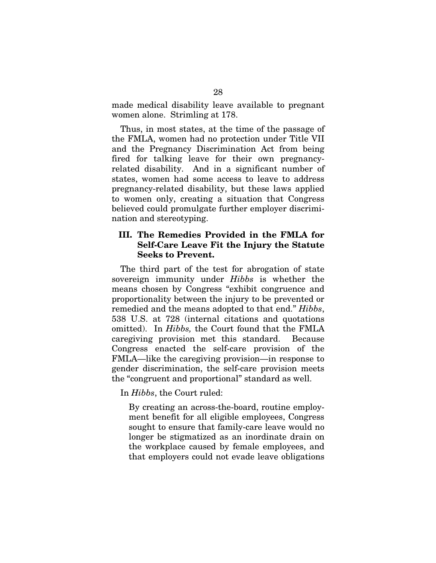made medical disability leave available to pregnant women alone. Strimling at 178.

Thus, in most states, at the time of the passage of the FMLA, women had no protection under Title VII and the Pregnancy Discrimination Act from being fired for talking leave for their own pregnancyrelated disability. And in a significant number of states, women had some access to leave to address pregnancy-related disability, but these laws applied to women only, creating a situation that Congress believed could promulgate further employer discrimination and stereotyping.

#### **III. The Remedies Provided in the FMLA for Self-Care Leave Fit the Injury the Statute Seeks to Prevent.**

The third part of the test for abrogation of state sovereign immunity under *Hibbs* is whether the means chosen by Congress "exhibit congruence and proportionality between the injury to be prevented or remedied and the means adopted to that end." *Hibbs*, 538 U.S. at 728 (internal citations and quotations omitted). In *Hibbs,* the Court found that the FMLA caregiving provision met this standard. Because Congress enacted the self-care provision of the FMLA—like the caregiving provision—in response to gender discrimination, the self-care provision meets the "congruent and proportional" standard as well.

In *Hibbs*, the Court ruled:

By creating an across-the-board, routine employment benefit for all eligible employees, Congress sought to ensure that family-care leave would no longer be stigmatized as an inordinate drain on the workplace caused by female employees, and that employers could not evade leave obligations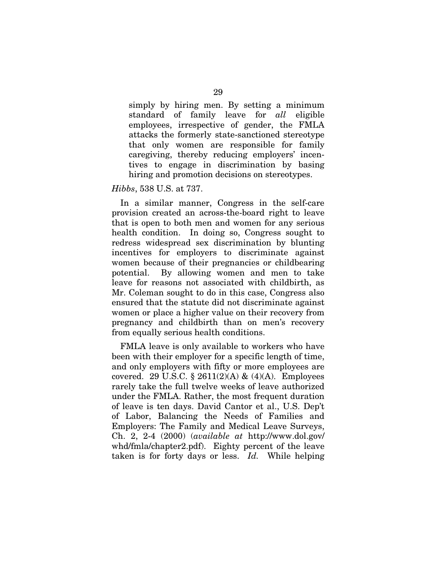simply by hiring men. By setting a minimum standard of family leave for *all* eligible employees, irrespective of gender, the FMLA attacks the formerly state-sanctioned stereotype that only women are responsible for family caregiving, thereby reducing employers' incentives to engage in discrimination by basing hiring and promotion decisions on stereotypes.

#### *Hibbs*, 538 U.S. at 737.

In a similar manner, Congress in the self-care provision created an across-the-board right to leave that is open to both men and women for any serious health condition. In doing so, Congress sought to redress widespread sex discrimination by blunting incentives for employers to discriminate against women because of their pregnancies or childbearing potential. By allowing women and men to take leave for reasons not associated with childbirth, as Mr. Coleman sought to do in this case, Congress also ensured that the statute did not discriminate against women or place a higher value on their recovery from pregnancy and childbirth than on men's recovery from equally serious health conditions.

FMLA leave is only available to workers who have been with their employer for a specific length of time, and only employers with fifty or more employees are covered. 29 U.S.C. § 2611(2)(A) &  $(4)$ (A). Employees rarely take the full twelve weeks of leave authorized under the FMLA. Rather, the most frequent duration of leave is ten days. David Cantor et al., U.S. Dep't of Labor, Balancing the Needs of Families and Employers: The Family and Medical Leave Surveys, Ch. 2, 2-4 (2000) (*available at* http://www.dol.gov/ whd/fmla/chapter2.pdf). Eighty percent of the leave taken is for forty days or less. *Id.* While helping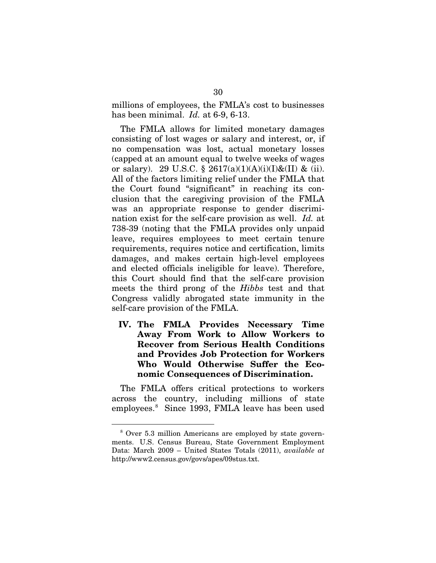millions of employees, the FMLA's cost to businesses has been minimal. *Id.* at 6-9, 6-13.

The FMLA allows for limited monetary damages consisting of lost wages or salary and interest, or, if no compensation was lost, actual monetary losses (capped at an amount equal to twelve weeks of wages or salary). 29 U.S.C. § 2617(a)(1)(A)(i)(I)&(II) & (ii). All of the factors limiting relief under the FMLA that the Court found "significant" in reaching its conclusion that the caregiving provision of the FMLA was an appropriate response to gender discrimination exist for the self-care provision as well. *Id.* at 738-39 (noting that the FMLA provides only unpaid leave, requires employees to meet certain tenure requirements, requires notice and certification, limits damages, and makes certain high-level employees and elected officials ineligible for leave). Therefore, this Court should find that the self-care provision meets the third prong of the *Hibbs* test and that Congress validly abrogated state immunity in the self-care provision of the FMLA.

**IV. The FMLA Provides Necessary Time Away From Work to Allow Workers to Recover from Serious Health Conditions and Provides Job Protection for Workers Who Would Otherwise Suffer the Economic Consequences of Discrimination.**

The FMLA offers critical protections to workers across the country, including millions of state employees.[8](#page-39-0) Since 1993, FMLA leave has been used

<span id="page-39-0"></span> <sup>8</sup> Over 5.3 million Americans are employed by state governments. U.S. Census Bureau, State Government Employment Data: March 2009 – United States Totals (2011), *available at* http://www2.census.gov/govs/apes/09stus.txt.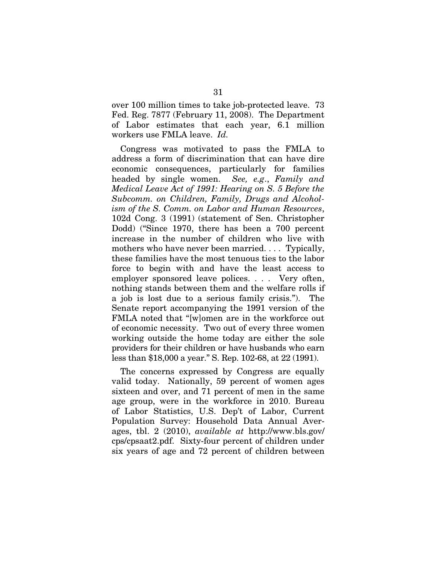over 100 million times to take job-protected leave. 73 Fed. Reg. 7877 (February 11, 2008). The Department of Labor estimates that each year, 6.1 million workers use FMLA leave. *Id.*

Congress was motivated to pass the FMLA to address a form of discrimination that can have dire economic consequences, particularly for families headed by single women. *See, e.g*., *Family and Medical Leave Act of 1991: Hearing on S. 5 Before the Subcomm. on Children, Family, Drugs and Alcoholism of the S. Comm. on Labor and Human Resources*, 102d Cong. 3 (1991) (statement of Sen. Christopher Dodd) ("Since 1970, there has been a 700 percent increase in the number of children who live with mothers who have never been married. . . . Typically, these families have the most tenuous ties to the labor force to begin with and have the least access to employer sponsored leave polices. . . . Very often, nothing stands between them and the welfare rolls if a job is lost due to a serious family crisis."). The Senate report accompanying the 1991 version of the FMLA noted that "[w]omen are in the workforce out of economic necessity. Two out of every three women working outside the home today are either the sole providers for their children or have husbands who earn less than \$18,000 a year." S. Rep. 102-68, at 22 (1991).

The concerns expressed by Congress are equally valid today. Nationally, 59 percent of women ages sixteen and over, and 71 percent of men in the same age group, were in the workforce in 2010. Bureau of Labor Statistics, U.S. Dep't of Labor, Current Population Survey: Household Data Annual Averages, tbl. 2 (2010), *available at* [http://www.bls.gov/](http://www.bls.gov/cps/cpsaat2.pdf) [cps/cpsaat2.pdf.](http://www.bls.gov/cps/cpsaat2.pdf) Sixty-four percent of children under six years of age and 72 percent of children between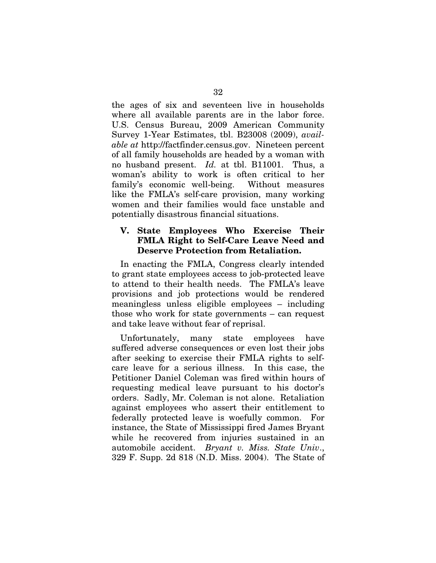the ages of six and seventeen live in households where all available parents are in the labor force. U.S. Census Bureau, 2009 American Community Survey 1-Year Estimates, tbl. B23008 (2009), *available at* [http://factfinder.census.gov.](http://factfinder.census.gov/) Nineteen percent of all family households are headed by a woman with no husband present. *Id.* at tbl. B11001. Thus, a woman's ability to work is often critical to her family's economic well-being. Without measures like the FMLA's self-care provision, many working women and their families would face unstable and potentially disastrous financial situations.

#### **V. State Employees Who Exercise Their FMLA Right to Self-Care Leave Need and Deserve Protection from Retaliation.**

In enacting the FMLA, Congress clearly intended to grant state employees access to job-protected leave to attend to their health needs. The FMLA's leave provisions and job protections would be rendered meaningless unless eligible employees – including those who work for state governments – can request and take leave without fear of reprisal.

Unfortunately, many state employees have suffered adverse consequences or even lost their jobs after seeking to exercise their FMLA rights to selfcare leave for a serious illness. In this case, the Petitioner Daniel Coleman was fired within hours of requesting medical leave pursuant to his doctor's orders. Sadly, Mr. Coleman is not alone. Retaliation against employees who assert their entitlement to federally protected leave is woefully common. For instance, the State of Mississippi fired James Bryant while he recovered from injuries sustained in an automobile accident. *Bryant v. Miss. State Univ*., 329 F. Supp. 2d 818 (N.D. Miss. 2004). The State of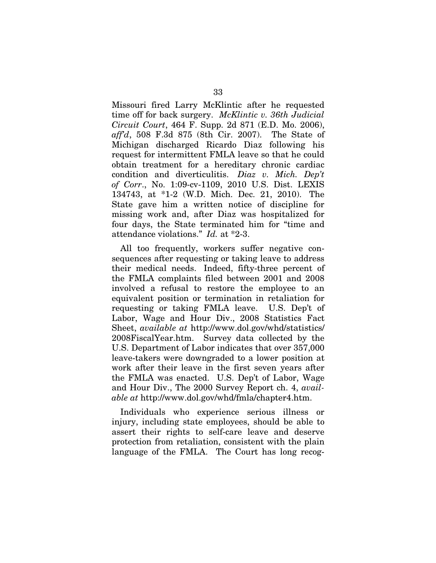Missouri fired Larry McKlintic after he requested time off for back surgery. *McKlintic v. 36th Judicial Circuit Court*, 464 F. Supp. 2d 871 (E.D. Mo. 2006), *aff'd*, 508 F.3d 875 (8th Cir. 2007). The State of Michigan discharged Ricardo Diaz following his request for intermittent FMLA leave so that he could obtain treatment for a hereditary chronic cardiac condition and diverticulitis. *Diaz v. Mich. Dep't of Corr*., No. 1:09-cv-1109, 2010 U.S. Dist. LEXIS 134743, at \*1-2 (W.D. Mich. Dec. 21, 2010). The State gave him a written notice of discipline for missing work and, after Diaz was hospitalized for four days, the State terminated him for "time and attendance violations." *Id.* at \*2-3.

All too frequently, workers suffer negative consequences after requesting or taking leave to address their medical needs. Indeed, fifty-three percent of the FMLA complaints filed between 2001 and 2008 involved a refusal to restore the employee to an equivalent position or termination in retaliation for requesting or taking FMLA leave. U.S. Dep't of Labor, Wage and Hour Div., 2008 Statistics Fact Sheet, *available at* http://www.dol.gov/whd/statistics/ 2008FiscalYear.htm. Survey data collected by the U.S. Department of Labor indicates that over 357,000 leave-takers were downgraded to a lower position at work after their leave in the first seven years after the FMLA was enacted. U.S. Dep't of Labor, Wage and Hour Div., The 2000 Survey Report ch. 4, *available at* http://www.dol.gov/whd/fmla/chapter4.htm.

Individuals who experience serious illness or injury, including state employees, should be able to assert their rights to self-care leave and deserve protection from retaliation, consistent with the plain language of the FMLA. The Court has long recog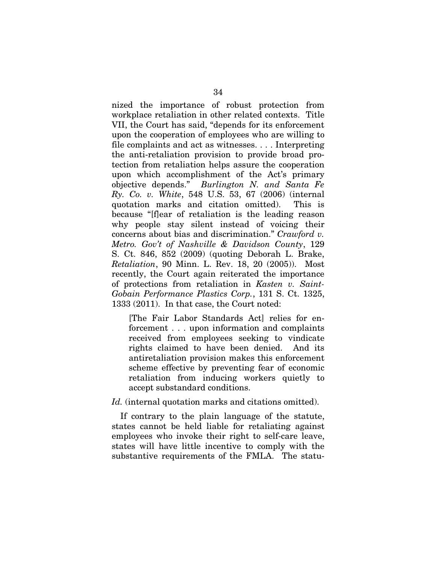nized the importance of robust protection from workplace retaliation in other related contexts. Title VII, the Court has said, "depends for its enforcement upon the cooperation of employees who are willing to file complaints and act as witnesses. . . . Interpreting the anti-retaliation provision to provide broad protection from retaliation helps assure the cooperation upon which accomplishment of the Act's primary objective depends." *Burlington N. and Santa Fe Ry. Co. v. White*, 548 U.S. 53, 67 (2006) (internal quotation marks and citation omitted). This is because "[f]ear of retaliation is the leading reason why people stay silent instead of voicing their concerns about bias and discrimination." *Crawford v. Metro. Gov't of Nashville & Davidson County*, 129 S. Ct. 846, 852 (2009) (quoting Deborah L. Brake, *Retaliation*, 90 Minn. L. Rev. 18, 20 (2005)). Most recently, the Court again reiterated the importance of protections from retaliation in *Kasten v. Saint-Gobain Performance Plastics Corp.*, 131 S. Ct. 1325, 1333 (2011). In that case, the Court noted:

[The Fair Labor Standards Act] relies for enforcement . . . upon information and complaints received from employees seeking to vindicate rights claimed to have been denied. And its antiretaliation provision makes this enforcement scheme effective by preventing fear of economic retaliation from inducing workers quietly to accept substandard conditions.

Id. (internal quotation marks and citations omitted).

If contrary to the plain language of the statute, states cannot be held liable for retaliating against employees who invoke their right to self-care leave, states will have little incentive to comply with the substantive requirements of the FMLA. The statu